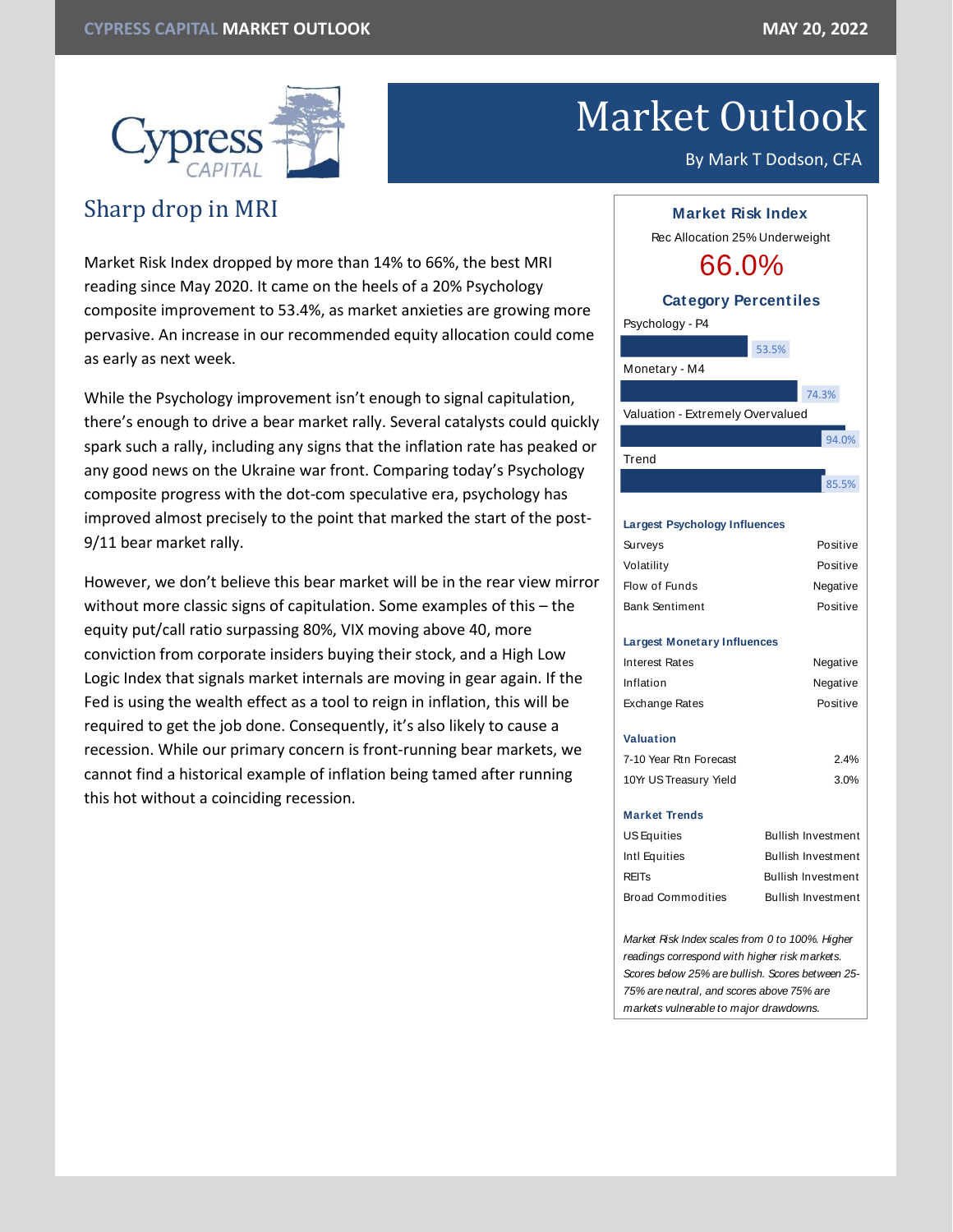

# Market Outlook

By Mark T Dodson, CFA

# Sharp drop in MRI

Market Risk Index dropped by more than 14% to 66%, the best MRI reading since May 2020. It came on the heels of a 20% Psychology composite improvement to 53.4%, as market anxieties are growing more pervasive. An increase in our recommended equity allocation could come as early as next week.

While the Psychology improvement isn't enough to signal capitulation, there's enough to drive a bear market rally. Several catalysts could quickly spark such a rally, including any signs that the inflation rate has peaked or any good news on the Ukraine war front. Comparing today's Psychology composite progress with the dot-com speculative era, psychology has improved almost precisely to the point that marked the start of the post-9/11 bear market rally.

However, we don't believe this bear market will be in the rear view mirror without more classic signs of capitulation. Some examples of this – the equity put/call ratio surpassing 80%, VIX moving above 40, more conviction from corporate insiders buying their stock, and a High Low Logic Index that signals market internals are moving in gear again. If the Fed is using the wealth effect as a tool to reign in inflation, this will be required to get the job done. Consequently, it's also likely to cause a recession. While our primary concern is front-running bear markets, we cannot find a historical example of inflation being tamed after running this hot without a coinciding recession.



*Market Risk Index scales from 0 to 100%. Higher readings correspond with higher risk markets. Scores below 25% are bullish. Scores between 25- 75% are neutral, and scores above 75% are markets vulnerable to major drawdowns.*

Broad Commodities Bullish Investment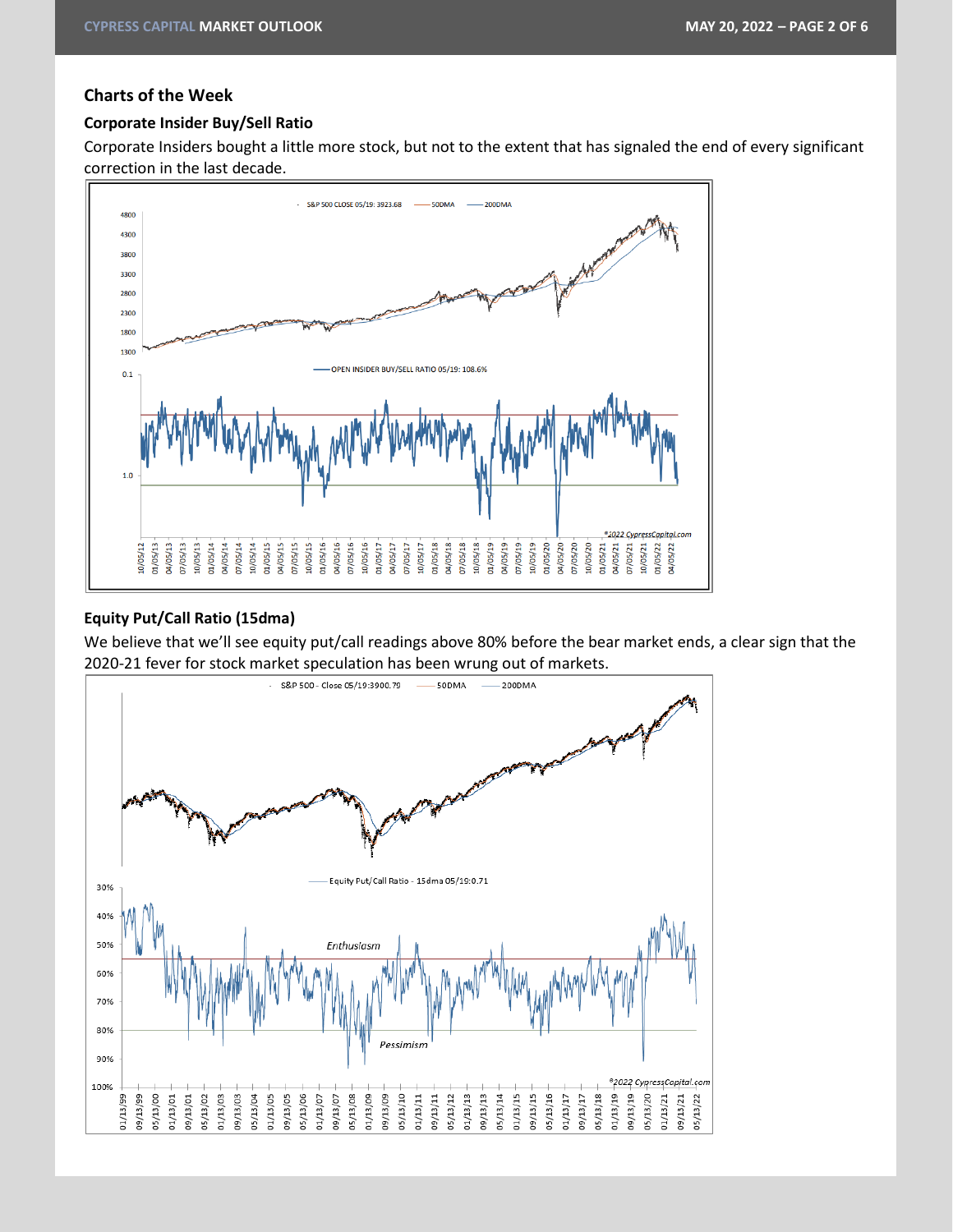# **Charts of the Week**

# **Corporate Insider Buy/Sell Ratio**

Corporate Insiders bought a little more stock, but not to the extent that has signaled the end of every significant correction in the last decade.



# **Equity Put/Call Ratio (15dma)**

We believe that we'll see equity put/call readings above 80% before the bear market ends, a clear sign that the 2020-21 fever for stock market speculation has been wrung out of markets.

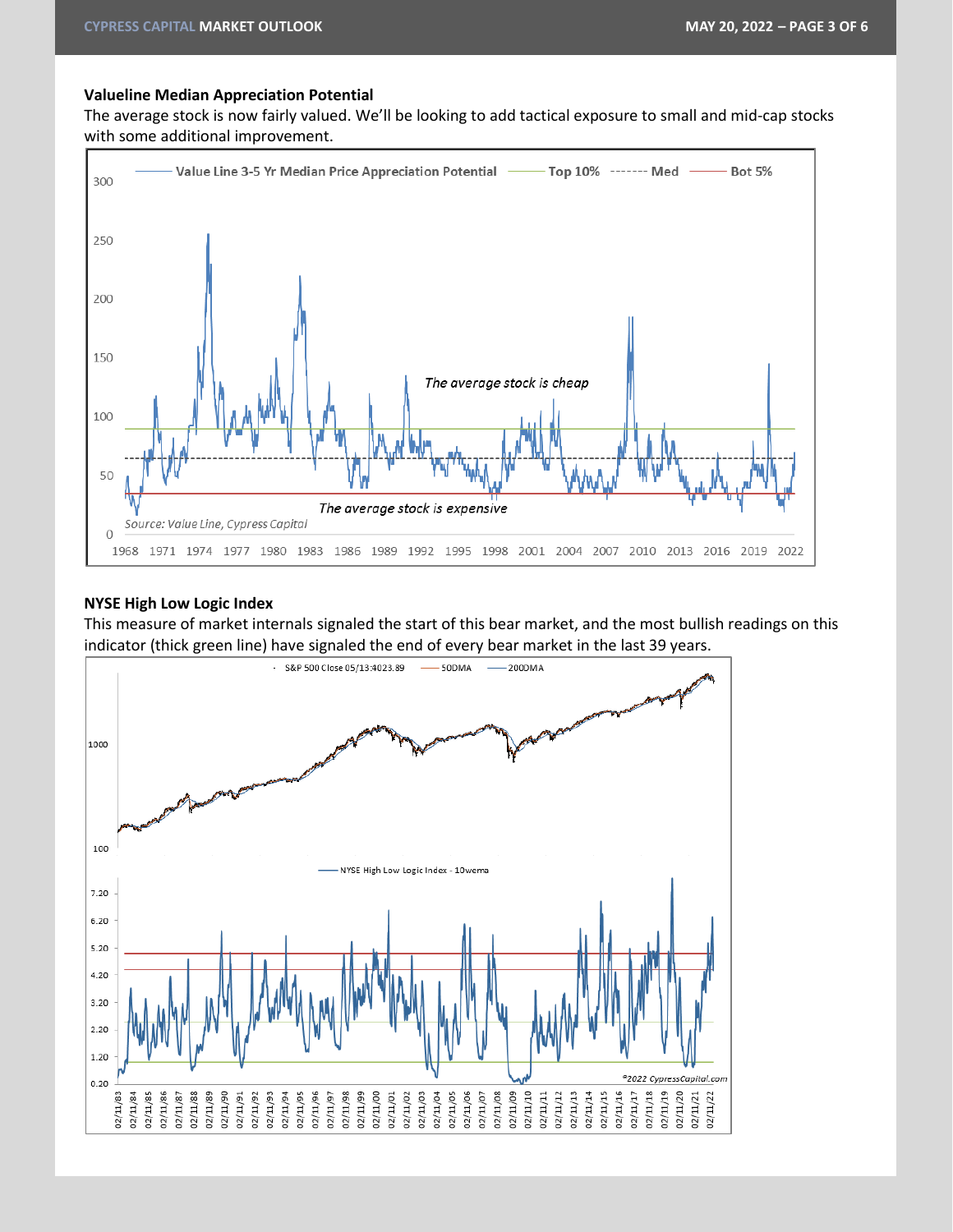#### **Valueline Median Appreciation Potential**

The average stock is now fairly valued. We'll be looking to add tactical exposure to small and mid-cap stocks with some additional improvement.



#### **NYSE High Low Logic Index**

This measure of market internals signaled the start of this bear market, and the most bullish readings on this indicator (thick green line) have signaled the end of every bear market in the last 39 years.

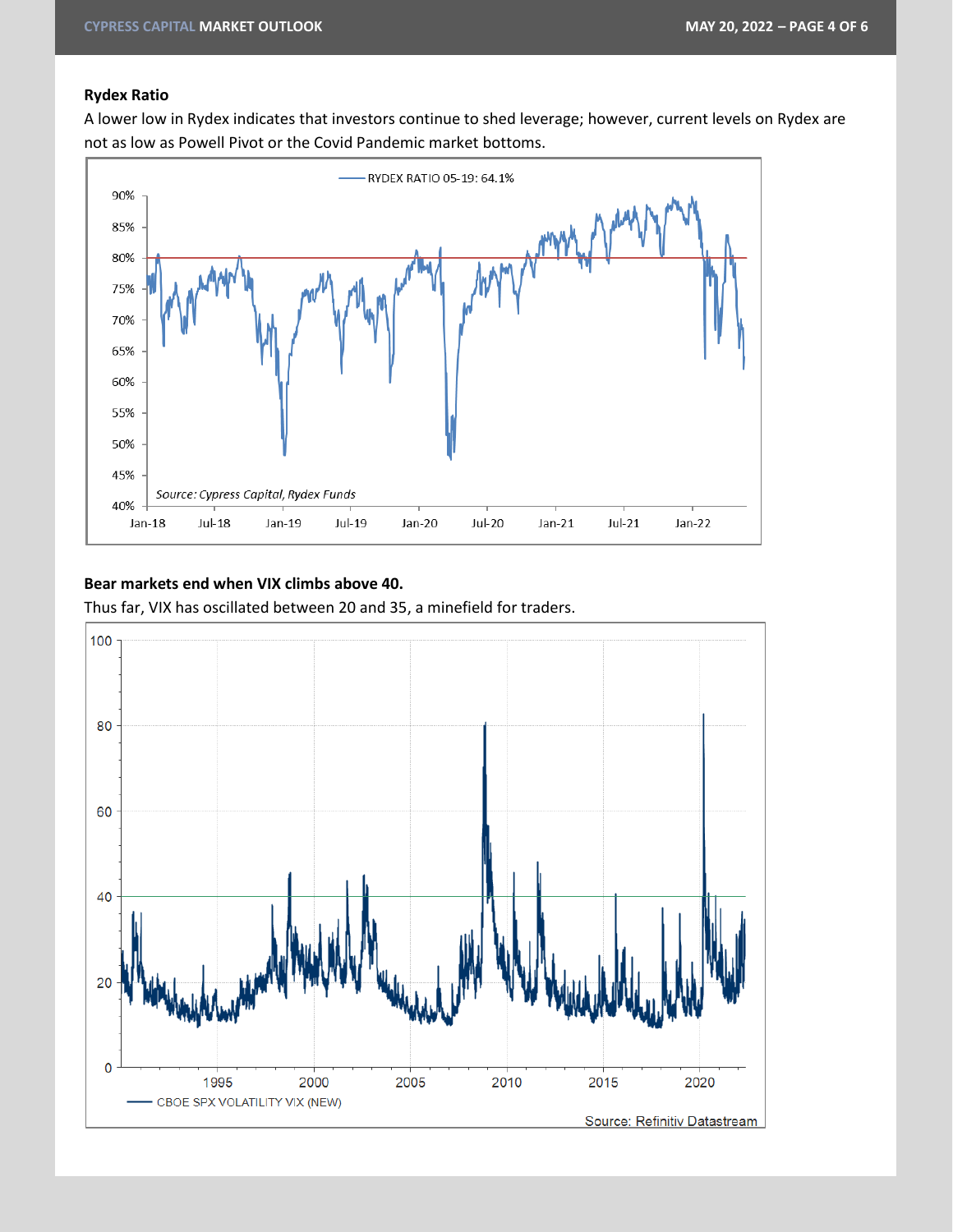## **Rydex Ratio**

A lower low in Rydex indicates that investors continue to shed leverage; however, current levels on Rydex are not as low as Powell Pivot or the Covid Pandemic market bottoms.



# **Bear markets end when VIX climbs above 40.**

Thus far, VIX has oscillated between 20 and 35, a minefield for traders.

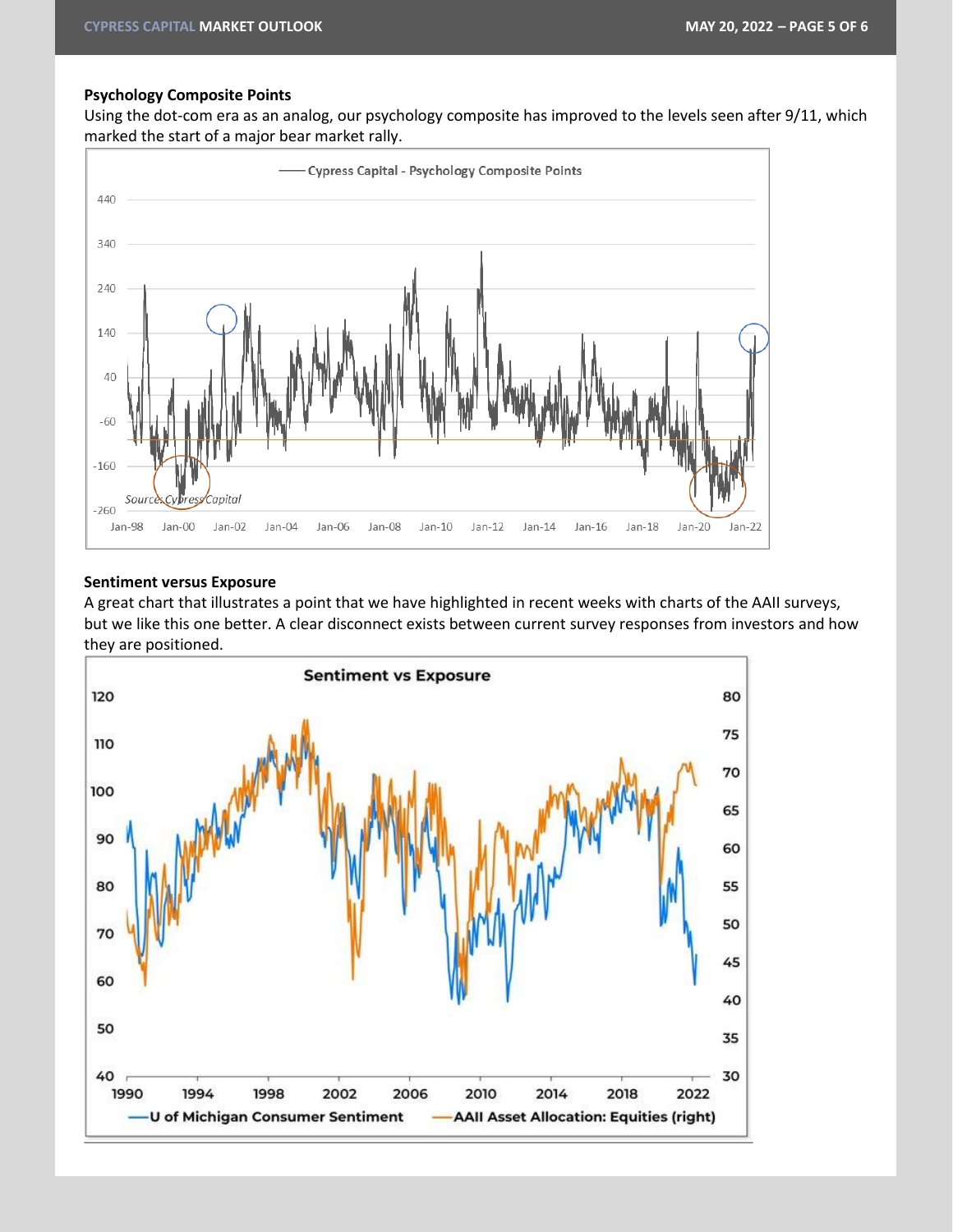#### **Psychology Composite Points**

Using the dot-com era as an analog, our psychology composite has improved to the levels seen after 9/11, which marked the start of a major bear market rally.



#### **Sentiment versus Exposure**

A great chart that illustrates a point that we have highlighted in recent weeks with charts of the AAII surveys, but we like this one better. A clear disconnect exists between current survey responses from investors and how they are positioned.